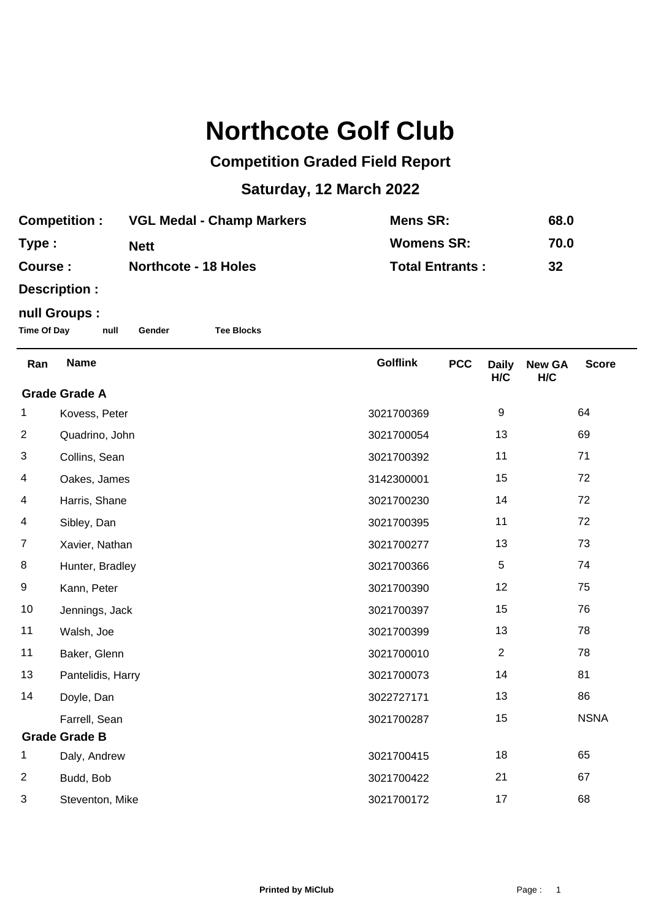## **Northcote Golf Club**

## **Competition Graded Field Report**

## **Saturday, 12 March 2022**

| <b>Competition :</b> | <b>VGL Medal - Champ Markers</b> | Mens SR:               | 68.0 |
|----------------------|----------------------------------|------------------------|------|
| Type :               | <b>Nett</b>                      | <b>Womens SR:</b>      | 70.0 |
| <b>Course :</b>      | <b>Northcote - 18 Holes</b>      | <b>Total Entrants:</b> | -32  |

**Description :**

## **null Groups :**

**Time Of Day null Gender Tee Blocks**

| Ran                  | <b>Name</b>          | <b>Golflink</b> | <b>PCC</b> | <b>Daily</b><br>H/C | <b>New GA</b><br>H/C | <b>Score</b> |  |
|----------------------|----------------------|-----------------|------------|---------------------|----------------------|--------------|--|
| <b>Grade Grade A</b> |                      |                 |            |                     |                      |              |  |
| 1                    | Kovess, Peter        | 3021700369      |            | 9                   |                      | 64           |  |
| $\overline{2}$       | Quadrino, John       | 3021700054      |            | 13                  |                      | 69           |  |
| 3                    | Collins, Sean        | 3021700392      |            | 11                  |                      | 71           |  |
| 4                    | Oakes, James         | 3142300001      |            | 15                  |                      | 72           |  |
| 4                    | Harris, Shane        | 3021700230      |            | 14                  |                      | 72           |  |
| 4                    | Sibley, Dan          | 3021700395      |            | 11                  |                      | 72           |  |
| $\overline{7}$       | Xavier, Nathan       | 3021700277      |            | 13                  |                      | 73           |  |
| 8                    | Hunter, Bradley      | 3021700366      |            | $\sqrt{5}$          |                      | 74           |  |
| 9                    | Kann, Peter          | 3021700390      |            | 12                  |                      | 75           |  |
| 10                   | Jennings, Jack       | 3021700397      |            | 15                  |                      | 76           |  |
| 11                   | Walsh, Joe           | 3021700399      |            | 13                  |                      | 78           |  |
| 11                   | Baker, Glenn         | 3021700010      |            | $\overline{2}$      |                      | 78           |  |
| 13                   | Pantelidis, Harry    | 3021700073      |            | 14                  |                      | 81           |  |
| 14                   | Doyle, Dan           | 3022727171      |            | 13                  |                      | 86           |  |
|                      | Farrell, Sean        | 3021700287      |            | 15                  |                      | <b>NSNA</b>  |  |
|                      | <b>Grade Grade B</b> |                 |            |                     |                      |              |  |
| 1                    | Daly, Andrew         | 3021700415      |            | 18                  |                      | 65           |  |
| $\overline{c}$       | Budd, Bob            | 3021700422      |            | 21                  |                      | 67           |  |
| 3                    | Steventon, Mike      | 3021700172      |            | 17                  |                      | 68           |  |